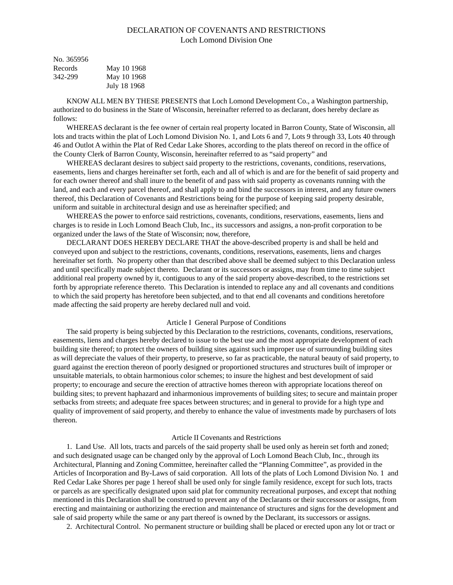# DECLARATION OF COVENANTS AND RESTRICTIONS Loch Lomond Division One

| No. 365956 |              |
|------------|--------------|
| Records    | May 10 1968  |
| 342-299    | May 10 1968  |
|            | July 18 1968 |

KNOW ALL MEN BY THESE PRESENTS that Loch Lomond Development Co., a Washington partnership, authorized to do business in the State of Wisconsin, hereinafter referred to as declarant, does hereby declare as follows:

WHEREAS declarant is the fee owner of certain real property located in Barron County, State of Wisconsin, all lots and tracts within the plat of Loch Lomond Division No. 1, and Lots 6 and 7, Lots 9 through 33, Lots 40 through 46 and Outlot A within the Plat of Red Cedar Lake Shores, according to the plats thereof on record in the office of the County Clerk of Barron County, Wisconsin, hereinafter referred to as "said property" and

WHEREAS declarant desires to subject said property to the restrictions, covenants, conditions, reservations, easements, liens and charges hereinafter set forth, each and all of which is and are for the benefit of said property and for each owner thereof and shall inure to the benefit of and pass with said property as covenants running with the land, and each and every parcel thereof, and shall apply to and bind the successors in interest, and any future owners thereof, this Declaration of Covenants and Restrictions being for the purpose of keeping said property desirable, uniform and suitable in architectural design and use as hereinafter specified; and

WHEREAS the power to enforce said restrictions, covenants, conditions, reservations, easements, liens and charges is to reside in Loch Lomond Beach Club, Inc., its successors and assigns, a non-profit corporation to be organized under the laws of the State of Wisconsin; now, therefore,

DECLARANT DOES HEREBY DECLARE THAT the above-described property is and shall be held and conveyed upon and subject to the restrictions, covenants, conditions, reservations, easements, liens and charges hereinafter set forth. No property other than that described above shall be deemed subject to this Declaration unless and until specifically made subject thereto. Declarant or its successors or assigns, may from time to time subject additional real property owned by it, contiguous to any of the said property above-described, to the restrictions set forth by appropriate reference thereto. This Declaration is intended to replace any and all covenants and conditions to which the said property has heretofore been subjected, and to that end all covenants and conditions heretofore made affecting the said property are hereby declared null and void.

## Article I General Purpose of Conditions

The said property is being subjected by this Declaration to the restrictions, covenants, conditions, reservations, easements, liens and charges hereby declared to issue to the best use and the most appropriate development of each building site thereof; to protect the owners of building sites against such improper use of surrounding building sites as will depreciate the values of their property, to preserve, so far as practicable, the natural beauty of said property, to guard against the erection thereon of poorly designed or proportioned structures and structures built of improper or unsuitable materials, to obtain harmonious color schemes; to insure the highest and best development of said property; to encourage and secure the erection of attractive homes thereon with appropriate locations thereof on building sites; to prevent haphazard and inharmonious improvements of building sites; to secure and maintain proper setbacks from streets; and adequate free spaces between structures; and in general to provide for a high type and quality of improvement of said property, and thereby to enhance the value of investments made by purchasers of lots thereon.

### Article II Covenants and Restrictions

1. Land Use. All lots, tracts and parcels of the said property shall be used only as herein set forth and zoned; and such designated usage can be changed only by the approval of Loch Lomond Beach Club, Inc., through its Architectural, Planning and Zoning Committee, hereinafter called the "Planning Committee", as provided in the Articles of Incorporation and By-Laws of said corporation. All lots of the plats of Loch Lomond Division No. 1 and Red Cedar Lake Shores per page 1 hereof shall be used only for single family residence, except for such lots, tracts or parcels as are specifically designated upon said plat for community recreational purposes, and except that nothing mentioned in this Declaration shall be construed to prevent any of the Declarants or their successors or assigns, from erecting and maintaining or authorizing the erection and maintenance of structures and signs for the development and sale of said property while the same or any part thereof is owned by the Declarant, its successors or assigns.

2. Architectural Control. No permanent structure or building shall be placed or erected upon any lot or tract or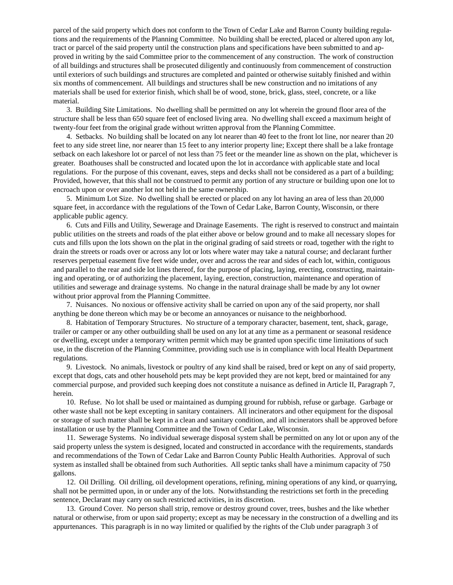parcel of the said property which does not conform to the Town of Cedar Lake and Barron County building regulations and the requirements of the Planning Committee. No building shall be erected, placed or altered upon any lot, tract or parcel of the said property until the construction plans and specifications have been submitted to and approved in writing by the said Committee prior to the commencement of any construction. The work of construction of all buildings and structures shall be prosecuted diligently and continuously from commencement of construction until exteriors of such buildings and structures are completed and painted or otherwise suitably finished and within six months of commencement. All buildings and structures shall be new construction and no imitations of any materials shall be used for exterior finish, which shall be of wood, stone, brick, glass, steel, concrete, or a like material.

3. Building Site Limitations. No dwelling shall be permitted on any lot wherein the ground floor area of the structure shall be less than 650 square feet of enclosed living area. No dwelling shall exceed a maximum height of twenty-four feet from the original grade without written approval from the Planning Committee.

4. Setbacks. No building shall be located on any lot nearer than 40 feet to the front lot line, nor nearer than 20 feet to any side street line, nor nearer than 15 feet to any interior property line; Except there shall be a lake frontage setback on each lakeshore lot or parcel of not less than 75 feet or the meander line as shown on the plat, whichever is greater. Boathouses shall be constructed and located upon the lot in accordance with applicable state and local regulations. For the purpose of this covenant, eaves, steps and decks shall not be considered as a part of a building; Provided, however, that this shall not be construed to permit any portion of any structure or building upon one lot to encroach upon or over another lot not held in the same ownership.

5. Minimum Lot Size. No dwelling shall be erected or placed on any lot having an area of less than 20,000 square feet, in accordance with the regulations of the Town of Cedar Lake, Barron County, Wisconsin, or there applicable public agency.

6. Cuts and Fills and Utility, Sewerage and Drainage Easements. The right is reserved to construct and maintain public utilities on the streets and roads of the plat either above or below ground and to make all necessary slopes for cuts and fills upon the lots shown on the plat in the original grading of said streets or road, together with the right to drain the streets or roads over or across any lot or lots where water may take a natural course; and declarant further reserves perpetual easement five feet wide under, over and across the rear and sides of each lot, within, contiguous and parallel to the rear and side lot lines thereof, for the purpose of placing, laying, erecting, constructing, maintaining and operating, or of authorizing the placement, laying, erection, construction, maintenance and operation of utilities and sewerage and drainage systems. No change in the natural drainage shall be made by any lot owner without prior approval from the Planning Committee.

7. Nuisances. No noxious or offensive activity shall be carried on upon any of the said property, nor shall anything be done thereon which may be or become an annoyances or nuisance to the neighborhood.

8. Habitation of Temporary Structures. No structure of a temporary character, basement, tent, shack, garage, trailer or camper or any other outbuilding shall be used on any lot at any time as a permanent or seasonal residence or dwelling, except under a temporary written permit which may be granted upon specific time limitations of such use, in the discretion of the Planning Committee, providing such use is in compliance with local Health Department regulations.

9. Livestock. No animals, livestock or poultry of any kind shall be raised, bred or kept on any of said property, except that dogs, cats and other household pets may be kept provided they are not kept, bred or maintained for any commercial purpose, and provided such keeping does not constitute a nuisance as defined in Article II, Paragraph 7, herein.

10. Refuse. No lot shall be used or maintained as dumping ground for rubbish, refuse or garbage. Garbage or other waste shall not be kept excepting in sanitary containers. All incinerators and other equipment for the disposal or storage of such matter shall be kept in a clean and sanitary condition, and all incinerators shall be approved before installation or use by the Planning Committee and the Town of Cedar Lake, Wisconsin.

11. Sewerage Systems. No individual sewerage disposal system shall be permitted on any lot or upon any of the said property unless the system is designed, located and constructed in accordance with the requirements, standards and recommendations of the Town of Cedar Lake and Barron County Public Health Authorities. Approval of such system as installed shall be obtained from such Authorities. All septic tanks shall have a minimum capacity of 750 gallons.

12. Oil Drilling. Oil drilling, oil development operations, refining, mining operations of any kind, or quarrying, shall not be permitted upon, in or under any of the lots. Notwithstanding the restrictions set forth in the preceding sentence, Declarant may carry on such restricted activities, in its discretion.

13. Ground Cover. No person shall strip, remove or destroy ground cover, trees, bushes and the like whether natural or otherwise, from or upon said property; except as may be necessary in the construction of a dwelling and its appurtenances. This paragraph is in no way limited or qualified by the rights of the Club under paragraph 3 of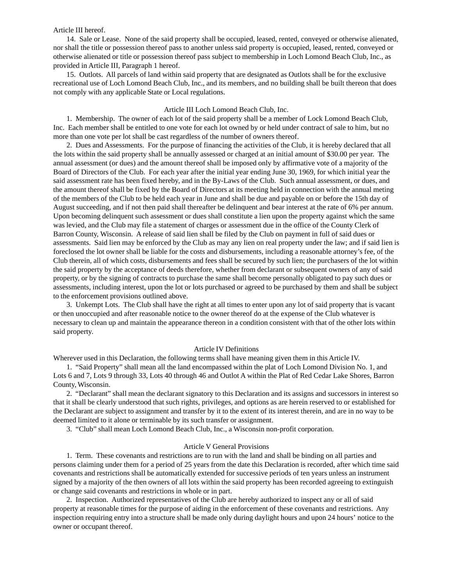### Article III hereof.

14. Sale or Lease. None of the said property shall be occupied, leased, rented, conveyed or otherwise alienated, nor shall the title or possession thereof pass to another unless said property is occupied, leased, rented, conveyed or otherwise alienated or title or possession thereof pass subject to membership in Loch Lomond Beach Club, Inc., as provided in Article III, Paragraph 1 hereof.

15. Outlots. All parcels of land within said property that are designated as Outlots shall be for the exclusive recreational use of Loch Lomond Beach Club, Inc., and its members, and no building shall be built thereon that does not comply with any applicable State or Local regulations.

## Article III Loch Lomond Beach Club, Inc.

1. Membership. The owner of each lot of the said property shall be a member of Lock Lomond Beach Club, Inc. Each member shall be entitled to one vote for each lot owned by or held under contract of sale to him, but no more than one vote per lot shall be cast regardless of the number of owners thereof.

2. Dues and Assessments. For the purpose of financing the activities of the Club, it is hereby declared that all the lots within the said property shall be annually assessed or charged at an initial amount of \$30.00 per year. The annual assessment (or dues) and the amount thereof shall be imposed only by affirmative vote of a majority of the Board of Directors of the Club. For each year after the initial year ending June 30, 1969, for which initial year the said assessment rate has been fixed hereby, and in the By-Laws of the Club. Such annual assessment, or dues, and the amount thereof shall be fixed by the Board of Directors at its meeting held in connection with the annual meting of the members of the Club to be held each year in June and shall be due and payable on or before the 15th day of August succeeding, and if not then paid shall thereafter be delinquent and bear interest at the rate of 6% per annum. Upon becoming delinquent such assessment or dues shall constitute a lien upon the property against which the same was levied, and the Club may file a statement of charges or assessment due in the office of the County Clerk of Barron County, Wisconsin. A release of said lien shall be filed by the Club on payment in full of said dues or assessments. Said lien may be enforced by the Club as may any lien on real property under the law; and if said lien is foreclosed the lot owner shall be liable for the costs and disbursements, including a reasonable attorney's fee, of the Club therein, all of which costs, disbursements and fees shall be secured by such lien; the purchasers of the lot within the said property by the acceptance of deeds therefore, whether from declarant or subsequent owners of any of said property, or by the signing of contracts to purchase the same shall become personally obligated to pay such dues or assessments, including interest, upon the lot or lots purchased or agreed to be purchased by them and shall be subject to the enforcement provisions outlined above.

3. Unkempt Lots. The Club shall have the right at all times to enter upon any lot of said property that is vacant or then unoccupied and after reasonable notice to the owner thereof do at the expense of the Club whatever is necessary to clean up and maintain the appearance thereon in a condition consistent with that of the other lots within said property.

#### Article IV Definitions

Wherever used in this Declaration, the following terms shall have meaning given them in this Article IV.

1. "Said Property" shall mean all the land encompassed within the plat of Loch Lomond Division No. 1, and Lots 6 and 7, Lots 9 through 33, Lots 40 through 46 and Outlot A within the Plat of Red Cedar Lake Shores, Barron County, Wisconsin.

2. "Declarant" shall mean the declarant signatory to this Declaration and its assigns and successors in interest so that it shall be clearly understood that such rights, privileges, and options as are herein reserved to or established for the Declarant are subject to assignment and transfer by it to the extent of its interest therein, and are in no way to be deemed limited to it alone or terminable by its such transfer or assignment.

3. "Club" shall mean Loch Lomond Beach Club, Inc., a Wisconsin non-profit corporation.

### Article V General Provisions

1. Term. These covenants and restrictions are to run with the land and shall be binding on all parties and persons claiming under them for a period of 25 years from the date this Declaration is recorded, after which time said covenants and restrictions shall be automatically extended for successive periods of ten years unless an instrument signed by a majority of the then owners of all lots within the said property has been recorded agreeing to extinguish or change said covenants and restrictions in whole or in part.

2. Inspection. Authorized representatives of the Club are hereby authorized to inspect any or all of said property at reasonable times for the purpose of aiding in the enforcement of these covenants and restrictions. Any inspection requiring entry into a structure shall be made only during daylight hours and upon 24 hours' notice to the owner or occupant thereof.